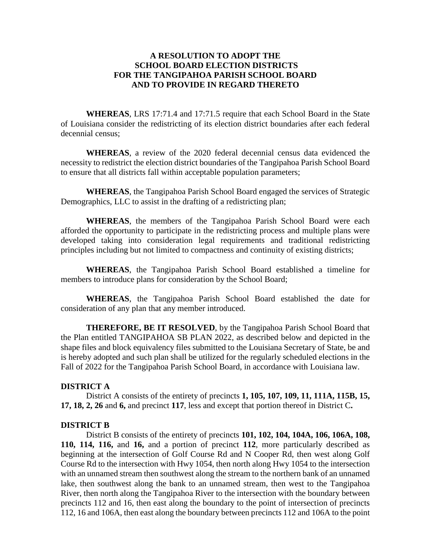# **A RESOLUTION TO ADOPT THE SCHOOL BOARD ELECTION DISTRICTS FOR THE TANGIPAHOA PARISH SCHOOL BOARD AND TO PROVIDE IN REGARD THERETO**

**WHEREAS**, LRS 17:71.4 and 17:71.5 require that each School Board in the State of Louisiana consider the redistricting of its election district boundaries after each federal decennial census;

**WHEREAS**, a review of the 2020 federal decennial census data evidenced the necessity to redistrict the election district boundaries of the Tangipahoa Parish School Board to ensure that all districts fall within acceptable population parameters;

**WHEREAS**, the Tangipahoa Parish School Board engaged the services of Strategic Demographics, LLC to assist in the drafting of a redistricting plan;

**WHEREAS**, the members of the Tangipahoa Parish School Board were each afforded the opportunity to participate in the redistricting process and multiple plans were developed taking into consideration legal requirements and traditional redistricting principles including but not limited to compactness and continuity of existing districts;

**WHEREAS**, the Tangipahoa Parish School Board established a timeline for members to introduce plans for consideration by the School Board;

**WHEREAS**, the Tangipahoa Parish School Board established the date for consideration of any plan that any member introduced.

**THEREFORE, BE IT RESOLVED**, by the Tangipahoa Parish School Board that the Plan entitled TANGIPAHOA SB PLAN 2022, as described below and depicted in the shape files and block equivalency files submitted to the Louisiana Secretary of State, be and is hereby adopted and such plan shall be utilized for the regularly scheduled elections in the Fall of 2022 for the Tangipahoa Parish School Board, in accordance with Louisiana law.

### **DISTRICT A**

District A consists of the entirety of precincts **1, 105, 107, 109, 11, 111A, 115B, 15, 17, 18, 2, 26** and **6,** and precinct **117**, less and except that portion thereof in District C**.** 

#### **DISTRICT B**

District B consists of the entirety of precincts **101, 102, 104, 104A, 106, 106A, 108, 110, 114, 116,** and **16,** and a portion of precinct **112**, more particularly described as beginning at the intersection of Golf Course Rd and N Cooper Rd, then west along Golf Course Rd to the intersection with Hwy 1054, then north along Hwy 1054 to the intersection with an unnamed stream then southwest along the stream to the northern bank of an unnamed lake, then southwest along the bank to an unnamed stream, then west to the Tangipahoa River, then north along the Tangipahoa River to the intersection with the boundary between precincts 112 and 16, then east along the boundary to the point of intersection of precincts 112, 16 and 106A, then east along the boundary between precincts 112 and 106A to the point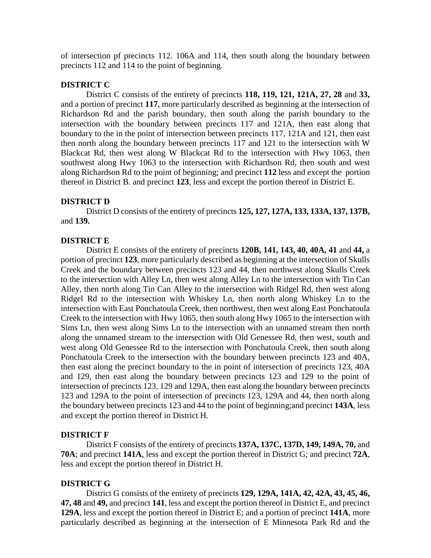of intersection pf precincts 112. 106A and 114, then south along the boundary between precincts 112 and 114 to the point of beginning.

## **DISTRICT C**

District C consists of the entirety of precincts **118, 119, 121, 121A, 27, 28** and **33,**  and a portion of precinct **117**, more particularly described as beginning at the intersection of Richardson Rd and the parish boundary, then south along the parish boundary to the intersection with the boundary between precincts 117 and 121A, then east along that boundary to the in the point of intersection between precincts 117, 121A and 121, then east then north along the boundary between precincts 117 and 121 to the intersection with W Blackcat Rd, then west along W Blackcat Rd to the intersection with Hwy 1063, then southwest along Hwy 1063 to the intersection with Richardson Rd, then south and west along Richardson Rd to the point of beginning; and precinct **112** less and except the portion thereof in District B. and precinct **123**, less and except the portion thereof in District E.

## **DISTRICT D**

District D consists of the entirety of precincts **125, 127, 127A, 133, 133A, 137, 137B,** and **139.**

### **DISTRICT E**

District E consists of the entirety of precincts **120B, 141, 143, 40, 40A, 41** and **44,** a portion of precinct **123**, more particularly described as beginning at the intersection of Skulls Creek and the boundary between precincts 123 and 44, then northwest along Skulls Creek to the intersection with Alley Ln, then west along Alley Ln to the intersection with Tin Can Alley, then north along Tin Can Alley to the intersection with Ridgel Rd, then west along Ridgel Rd to the intersection with Whiskey Ln, then north along Whiskey Ln to the intersection with East Ponchatoula Creek, then northwest, then west along East Ponchatoula Creek to the intersection with Hwy 1065, then south along Hwy 1065 to the intersection with Sims Ln, then west along Sims Ln to the intersection with an unnamed stream then north along the unnamed stream to the intersection with Old Genessee Rd, then west, south and west along Old Genessee Rd to the intersection with Ponchatoula Creek, then south along Ponchatoula Creek to the intersection with the boundary between precincts 123 and 40A, then east along the precinct boundary to the in point of intersection of precincts 123, 40A and 129, then east along the boundary between precincts 123 and 129 to the point of intersection of precincts 123, 129 and 129A, then east along the boundary between precincts 123 and 129A to the point of intersection of precincts 123, 129A and 44, then north along the boundary between precincts 123 and 44 to the point of beginning;and precinct **143A**, less and except the portion thereof in District H.

## **DISTRICT F**

District F consists of the entirety of precincts **137A, 137C, 137D, 149, 149A, 70,** and **70A**; and precinct **141A**, less and except the portion thereof in District G; and precinct **72A**, less and except the portion thereof in District H.

#### **DISTRICT G**

District G consists of the entirety of precincts **129, 129A, 141A, 42, 42A, 43, 45, 46, 47, 48** and **49,** and precinct **141**, less and except the portion thereof in District E, and precinct **129A**, less and except the portion thereof in District E; and a portion of precinct **141A**, more particularly described as beginning at the intersection of E Minnesota Park Rd and the